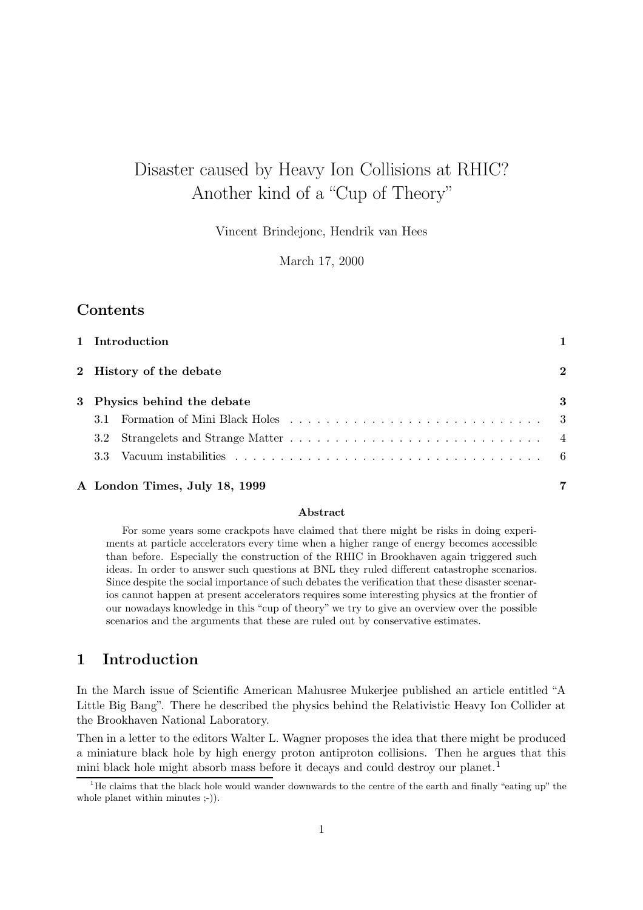# Disaster caused by Heavy Ion Collisions at RHIC? Another kind of a "Cup of Theory"

Vincent Brindejonc, Hendrik van Hees

March 17, 2000

## Contents

| 1 Introduction                |          |
|-------------------------------|----------|
| 2 History of the debate       | $\bf{2}$ |
| 3 Physics behind the debate   | 3        |
| -3.1                          |          |
| $3.2\,$                       |          |
|                               |          |
| A London Times, July 18, 1999 |          |

#### Abstract

For some years some crackpots have claimed that there might be risks in doing experiments at particle accelerators every time when a higher range of energy becomes accessible than before. Especially the construction of the RHIC in Brookhaven again triggered such ideas. In order to answer such questions at BNL they ruled different catastrophe scenarios. Since despite the social importance of such debates the verification that these disaster scenarios cannot happen at present accelerators requires some interesting physics at the frontier of our nowadays knowledge in this "cup of theory" we try to give an overview over the possible scenarios and the arguments that these are ruled out by conservative estimates.

# 1 Introduction

In the March issue of Scientific American Mahusree Mukerjee published an article entitled "A Little Big Bang". There he described the physics behind the Relativistic Heavy Ion Collider at the Brookhaven National Laboratory.

Then in a letter to the editors Walter L. Wagner proposes the idea that there might be produced a miniature black hole by high energy proton antiproton collisions. Then he argues that this mini black hole might absorb mass before it decays and could destroy our planet.<sup>1</sup>

<sup>&</sup>lt;sup>1</sup>He claims that the black hole would wander downwards to the centre of the earth and finally "eating up" the whole planet within minutes ;-)).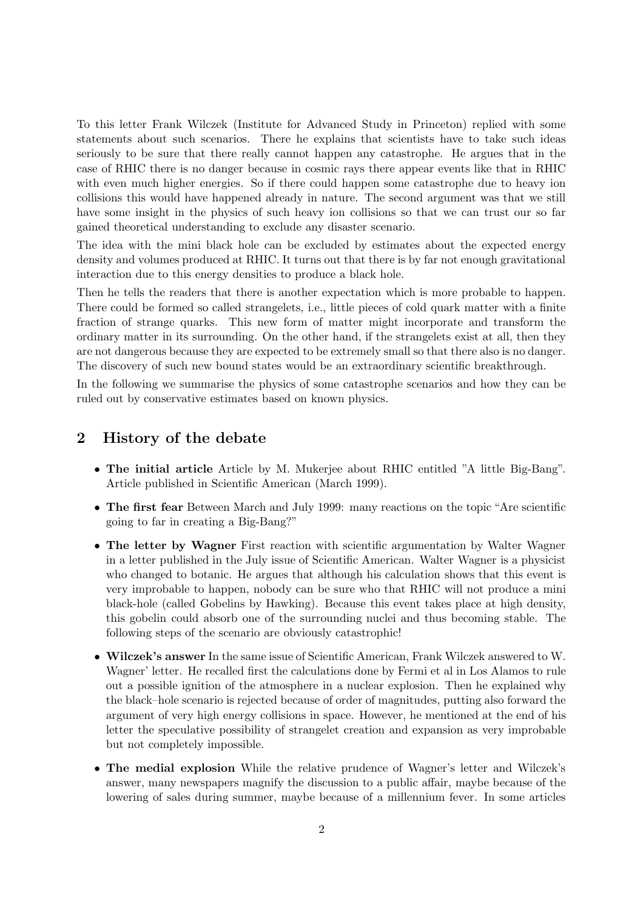To this letter Frank Wilczek (Institute for Advanced Study in Princeton) replied with some statements about such scenarios. There he explains that scientists have to take such ideas seriously to be sure that there really cannot happen any catastrophe. He argues that in the case of RHIC there is no danger because in cosmic rays there appear events like that in RHIC with even much higher energies. So if there could happen some catastrophe due to heavy ion collisions this would have happened already in nature. The second argument was that we still have some insight in the physics of such heavy ion collisions so that we can trust our so far gained theoretical understanding to exclude any disaster scenario.

The idea with the mini black hole can be excluded by estimates about the expected energy density and volumes produced at RHIC. It turns out that there is by far not enough gravitational interaction due to this energy densities to produce a black hole.

Then he tells the readers that there is another expectation which is more probable to happen. There could be formed so called strangelets, i.e., little pieces of cold quark matter with a finite fraction of strange quarks. This new form of matter might incorporate and transform the ordinary matter in its surrounding. On the other hand, if the strangelets exist at all, then they are not dangerous because they are expected to be extremely small so that there also is no danger. The discovery of such new bound states would be an extraordinary scientific breakthrough.

In the following we summarise the physics of some catastrophe scenarios and how they can be ruled out by conservative estimates based on known physics.

### 2 History of the debate

- The initial article Article by M. Mukerjee about RHIC entitled "A little Big-Bang". Article published in Scientific American (March 1999).
- The first fear Between March and July 1999: many reactions on the topic "Are scientific going to far in creating a Big-Bang?"
- The letter by Wagner First reaction with scientific argumentation by Walter Wagner in a letter published in the July issue of Scientific American. Walter Wagner is a physicist who changed to botanic. He argues that although his calculation shows that this event is very improbable to happen, nobody can be sure who that RHIC will not produce a mini black-hole (called Gobelins by Hawking). Because this event takes place at high density, this gobelin could absorb one of the surrounding nuclei and thus becoming stable. The following steps of the scenario are obviously catastrophic!
- Wilczek's answer In the same issue of Scientific American, Frank Wilczek answered to W. Wagner' letter. He recalled first the calculations done by Fermi et al in Los Alamos to rule out a possible ignition of the atmosphere in a nuclear explosion. Then he explained why the black–hole scenario is rejected because of order of magnitudes, putting also forward the argument of very high energy collisions in space. However, he mentioned at the end of his letter the speculative possibility of strangelet creation and expansion as very improbable but not completely impossible.
- The medial explosion While the relative prudence of Wagner's letter and Wilczek's answer, many newspapers magnify the discussion to a public affair, maybe because of the lowering of sales during summer, maybe because of a millennium fever. In some articles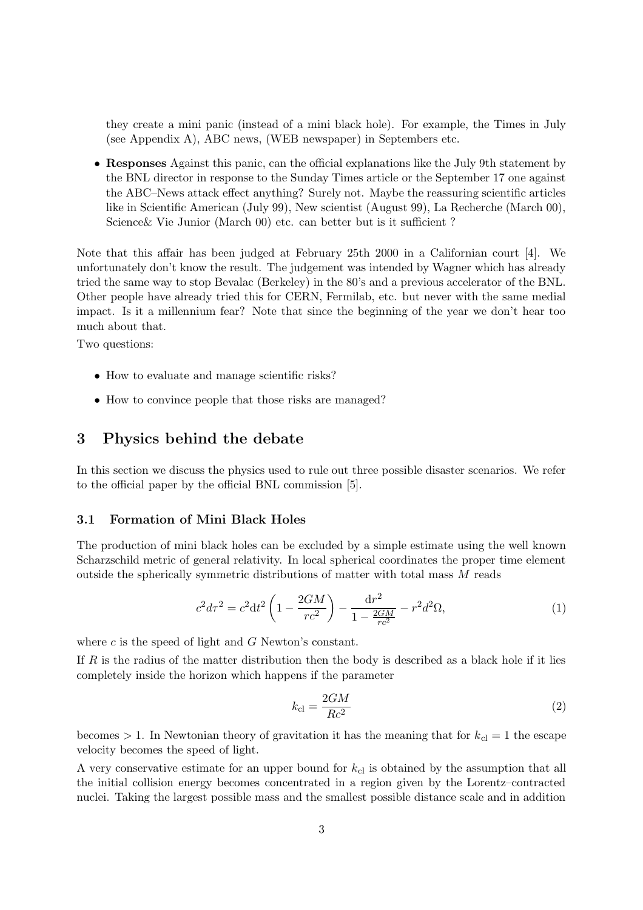they create a mini panic (instead of a mini black hole). For example, the Times in July (see Appendix A), ABC news, (WEB newspaper) in Septembers etc.

• Responses Against this panic, can the official explanations like the July 9th statement by the BNL director in response to the Sunday Times article or the September 17 one against the ABC–News attack effect anything? Surely not. Maybe the reassuring scientific articles like in Scientific American (July 99), New scientist (August 99), La Recherche (March 00), Science & Vie Junior (March 00) etc. can better but is it sufficient?

Note that this affair has been judged at February 25th 2000 in a Californian court [4]. We unfortunately don't know the result. The judgement was intended by Wagner which has already tried the same way to stop Bevalac (Berkeley) in the 80's and a previous accelerator of the BNL. Other people have already tried this for CERN, Fermilab, etc. but never with the same medial impact. Is it a millennium fear? Note that since the beginning of the year we don't hear too much about that.

Two questions:

- How to evaluate and manage scientific risks?
- How to convince people that those risks are managed?

### 3 Physics behind the debate

In this section we discuss the physics used to rule out three possible disaster scenarios. We refer to the official paper by the official BNL commission [5].

### 3.1 Formation of Mini Black Holes

The production of mini black holes can be excluded by a simple estimate using the well known Scharzschild metric of general relativity. In local spherical coordinates the proper time element outside the spherically symmetric distributions of matter with total mass M reads

$$
c^{2}d\tau^{2} = c^{2}dt^{2}\left(1 - \frac{2GM}{rc^{2}}\right) - \frac{dr^{2}}{1 - \frac{2GM}{rc^{2}}} - r^{2}d^{2}\Omega,
$$
\n(1)

where  $c$  is the speed of light and  $G$  Newton's constant.

If R is the radius of the matter distribution then the body is described as a black hole if it lies completely inside the horizon which happens if the parameter

$$
k_{\rm cl} = \frac{2GM}{Rc^2} \tag{2}
$$

becomes  $> 1$ . In Newtonian theory of gravitation it has the meaning that for  $k_{cl} = 1$  the escape velocity becomes the speed of light.

A very conservative estimate for an upper bound for  $k<sub>cl</sub>$  is obtained by the assumption that all the initial collision energy becomes concentrated in a region given by the Lorentz–contracted nuclei. Taking the largest possible mass and the smallest possible distance scale and in addition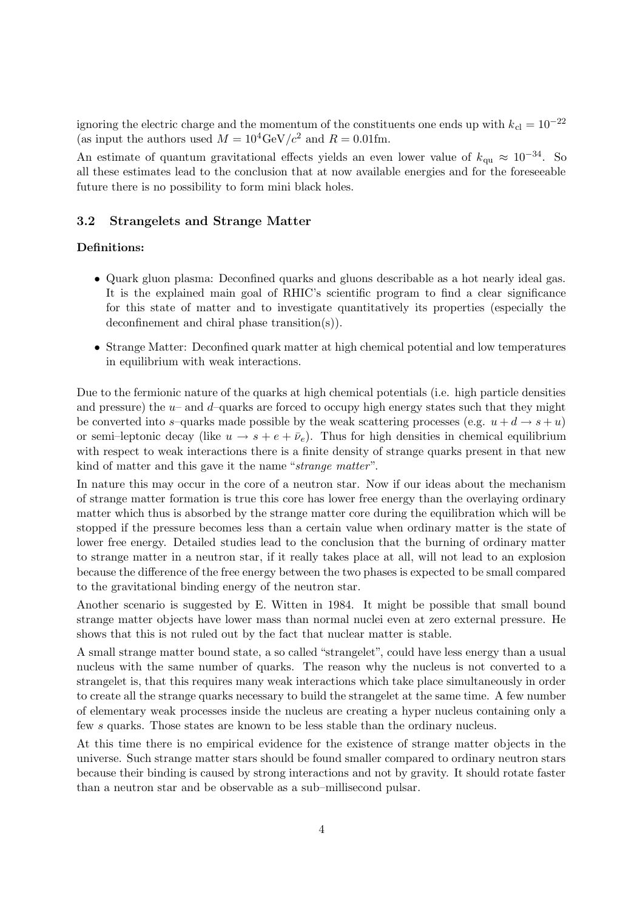ignoring the electric charge and the momentum of the constituents one ends up with  $k_{c} = 10^{-22}$ (as input the authors used  $M = 10^4 \text{GeV}/c^2$  and  $R = 0.01 \text{fm}$ .

An estimate of quantum gravitational effects yields an even lower value of  $k_{\text{qu}} \approx 10^{-34}$ . So all these estimates lead to the conclusion that at now available energies and for the foreseeable future there is no possibility to form mini black holes.

#### 3.2 Strangelets and Strange Matter

### Definitions:

- Quark gluon plasma: Deconfined quarks and gluons describable as a hot nearly ideal gas. It is the explained main goal of RHIC's scientific program to find a clear significance for this state of matter and to investigate quantitatively its properties (especially the deconfinement and chiral phase transition(s)).
- Strange Matter: Deconfined quark matter at high chemical potential and low temperatures in equilibrium with weak interactions.

Due to the fermionic nature of the quarks at high chemical potentials (i.e. high particle densities and pressure) the  $u$ – and  $d$ –quarks are forced to occupy high energy states such that they might be converted into s–quarks made possible by the weak scattering processes (e.g.  $u + d \rightarrow s + u$ ) or semi–leptonic decay (like  $u \to s + e + \bar{\nu}_e$ ). Thus for high densities in chemical equilibrium with respect to weak interactions there is a finite density of strange quarks present in that new kind of matter and this gave it the name "strange matter".

In nature this may occur in the core of a neutron star. Now if our ideas about the mechanism of strange matter formation is true this core has lower free energy than the overlaying ordinary matter which thus is absorbed by the strange matter core during the equilibration which will be stopped if the pressure becomes less than a certain value when ordinary matter is the state of lower free energy. Detailed studies lead to the conclusion that the burning of ordinary matter to strange matter in a neutron star, if it really takes place at all, will not lead to an explosion because the difference of the free energy between the two phases is expected to be small compared to the gravitational binding energy of the neutron star.

Another scenario is suggested by E. Witten in 1984. It might be possible that small bound strange matter objects have lower mass than normal nuclei even at zero external pressure. He shows that this is not ruled out by the fact that nuclear matter is stable.

A small strange matter bound state, a so called "strangelet", could have less energy than a usual nucleus with the same number of quarks. The reason why the nucleus is not converted to a strangelet is, that this requires many weak interactions which take place simultaneously in order to create all the strange quarks necessary to build the strangelet at the same time. A few number of elementary weak processes inside the nucleus are creating a hyper nucleus containing only a few s quarks. Those states are known to be less stable than the ordinary nucleus.

At this time there is no empirical evidence for the existence of strange matter objects in the universe. Such strange matter stars should be found smaller compared to ordinary neutron stars because their binding is caused by strong interactions and not by gravity. It should rotate faster than a neutron star and be observable as a sub–millisecond pulsar.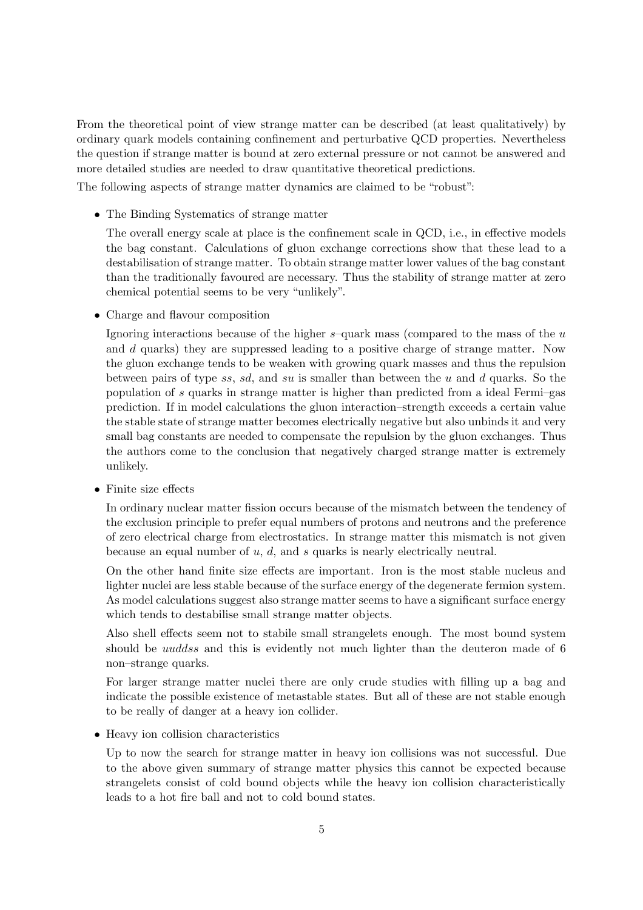From the theoretical point of view strange matter can be described (at least qualitatively) by ordinary quark models containing confinement and perturbative QCD properties. Nevertheless the question if strange matter is bound at zero external pressure or not cannot be answered and more detailed studies are needed to draw quantitative theoretical predictions.

The following aspects of strange matter dynamics are claimed to be "robust":

• The Binding Systematics of strange matter

The overall energy scale at place is the confinement scale in QCD, i.e., in effective models the bag constant. Calculations of gluon exchange corrections show that these lead to a destabilisation of strange matter. To obtain strange matter lower values of the bag constant than the traditionally favoured are necessary. Thus the stability of strange matter at zero chemical potential seems to be very "unlikely".

• Charge and flavour composition

Ignoring interactions because of the higher  $s$ –quark mass (compared to the mass of the  $u$ and d quarks) they are suppressed leading to a positive charge of strange matter. Now the gluon exchange tends to be weaken with growing quark masses and thus the repulsion between pairs of type ss, sd, and su is smaller than between the u and d quarks. So the population of s quarks in strange matter is higher than predicted from a ideal Fermi–gas prediction. If in model calculations the gluon interaction–strength exceeds a certain value the stable state of strange matter becomes electrically negative but also unbinds it and very small bag constants are needed to compensate the repulsion by the gluon exchanges. Thus the authors come to the conclusion that negatively charged strange matter is extremely unlikely.

• Finite size effects

In ordinary nuclear matter fission occurs because of the mismatch between the tendency of the exclusion principle to prefer equal numbers of protons and neutrons and the preference of zero electrical charge from electrostatics. In strange matter this mismatch is not given because an equal number of  $u, d$ , and  $s$  quarks is nearly electrically neutral.

On the other hand finite size effects are important. Iron is the most stable nucleus and lighter nuclei are less stable because of the surface energy of the degenerate fermion system. As model calculations suggest also strange matter seems to have a significant surface energy which tends to destabilise small strange matter objects.

Also shell effects seem not to stabile small strangelets enough. The most bound system should be *uuddss* and this is evidently not much lighter than the deuteron made of 6 non–strange quarks.

For larger strange matter nuclei there are only crude studies with filling up a bag and indicate the possible existence of metastable states. But all of these are not stable enough to be really of danger at a heavy ion collider.

• Heavy ion collision characteristics

Up to now the search for strange matter in heavy ion collisions was not successful. Due to the above given summary of strange matter physics this cannot be expected because strangelets consist of cold bound objects while the heavy ion collision characteristically leads to a hot fire ball and not to cold bound states.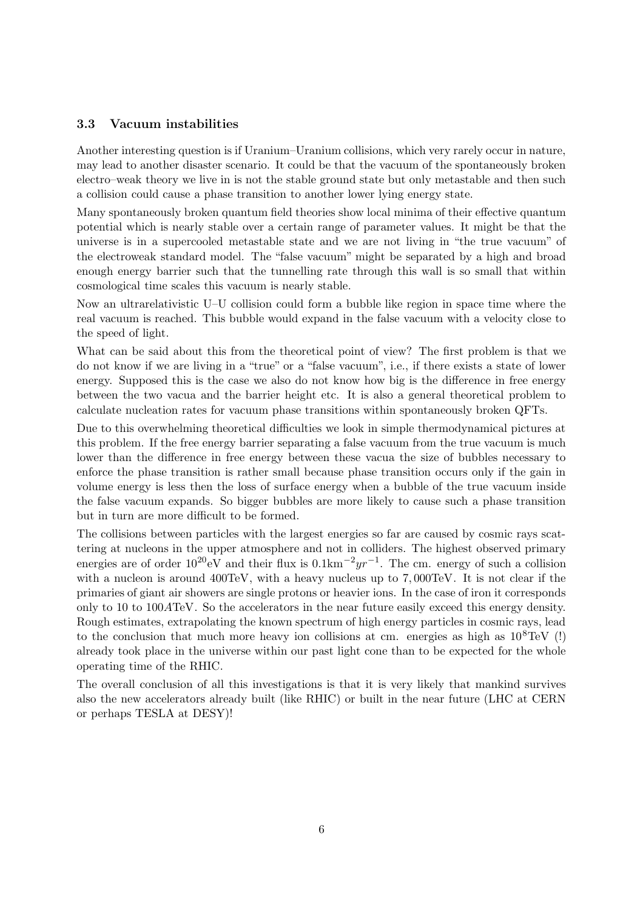#### 3.3 Vacuum instabilities

Another interesting question is if Uranium–Uranium collisions, which very rarely occur in nature, may lead to another disaster scenario. It could be that the vacuum of the spontaneously broken electro–weak theory we live in is not the stable ground state but only metastable and then such a collision could cause a phase transition to another lower lying energy state.

Many spontaneously broken quantum field theories show local minima of their effective quantum potential which is nearly stable over a certain range of parameter values. It might be that the universe is in a supercooled metastable state and we are not living in "the true vacuum" of the electroweak standard model. The "false vacuum" might be separated by a high and broad enough energy barrier such that the tunnelling rate through this wall is so small that within cosmological time scales this vacuum is nearly stable.

Now an ultrarelativistic U–U collision could form a bubble like region in space time where the real vacuum is reached. This bubble would expand in the false vacuum with a velocity close to the speed of light.

What can be said about this from the theoretical point of view? The first problem is that we do not know if we are living in a "true" or a "false vacuum", i.e., if there exists a state of lower energy. Supposed this is the case we also do not know how big is the difference in free energy between the two vacua and the barrier height etc. It is also a general theoretical problem to calculate nucleation rates for vacuum phase transitions within spontaneously broken QFTs.

Due to this overwhelming theoretical difficulties we look in simple thermodynamical pictures at this problem. If the free energy barrier separating a false vacuum from the true vacuum is much lower than the difference in free energy between these vacua the size of bubbles necessary to enforce the phase transition is rather small because phase transition occurs only if the gain in volume energy is less then the loss of surface energy when a bubble of the true vacuum inside the false vacuum expands. So bigger bubbles are more likely to cause such a phase transition but in turn are more difficult to be formed.

The collisions between particles with the largest energies so far are caused by cosmic rays scattering at nucleons in the upper atmosphere and not in colliders. The highest observed primary energies are of order  $10^{20}$ eV and their flux is  $0.1 \text{km}^{-2}yr^{-1}$ . The cm. energy of such a collision with a nucleon is around  $400 \text{TeV}$ , with a heavy nucleus up to 7,000TeV. It is not clear if the primaries of giant air showers are single protons or heavier ions. In the case of iron it corresponds only to 10 to 100ATeV. So the accelerators in the near future easily exceed this energy density. Rough estimates, extrapolating the known spectrum of high energy particles in cosmic rays, lead to the conclusion that much more heavy ion collisions at cm. energies as high as  $10^8 \text{TeV}$  (!) already took place in the universe within our past light cone than to be expected for the whole operating time of the RHIC.

The overall conclusion of all this investigations is that it is very likely that mankind survives also the new accelerators already built (like RHIC) or built in the near future (LHC at CERN or perhaps TESLA at DESY)!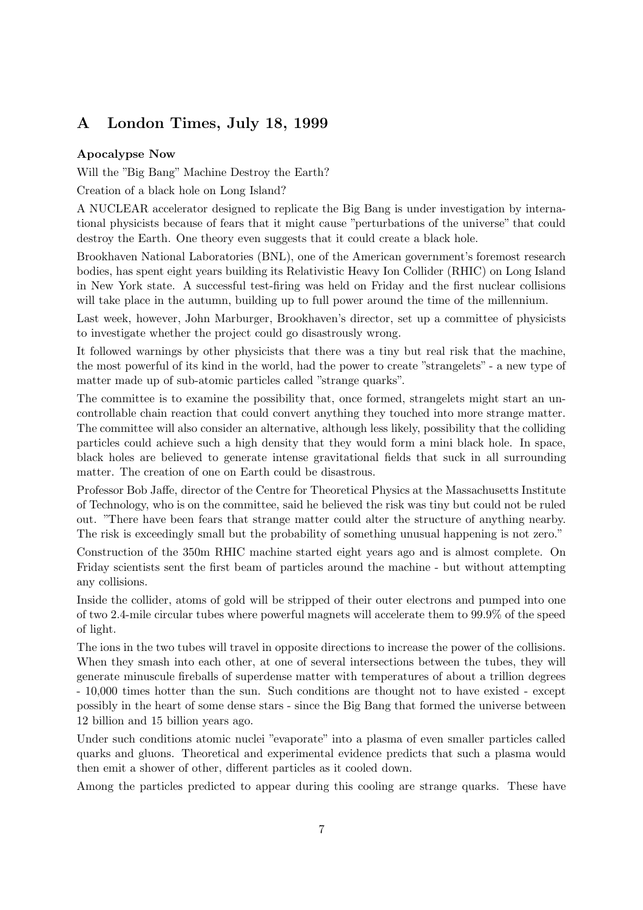# A London Times, July 18, 1999

#### Apocalypse Now

Will the "Big Bang" Machine Destroy the Earth?

Creation of a black hole on Long Island?

A NUCLEAR accelerator designed to replicate the Big Bang is under investigation by international physicists because of fears that it might cause "perturbations of the universe" that could destroy the Earth. One theory even suggests that it could create a black hole.

Brookhaven National Laboratories (BNL), one of the American government's foremost research bodies, has spent eight years building its Relativistic Heavy Ion Collider (RHIC) on Long Island in New York state. A successful test-firing was held on Friday and the first nuclear collisions will take place in the autumn, building up to full power around the time of the millennium.

Last week, however, John Marburger, Brookhaven's director, set up a committee of physicists to investigate whether the project could go disastrously wrong.

It followed warnings by other physicists that there was a tiny but real risk that the machine, the most powerful of its kind in the world, had the power to create "strangelets" - a new type of matter made up of sub-atomic particles called "strange quarks".

The committee is to examine the possibility that, once formed, strangelets might start an uncontrollable chain reaction that could convert anything they touched into more strange matter. The committee will also consider an alternative, although less likely, possibility that the colliding particles could achieve such a high density that they would form a mini black hole. In space, black holes are believed to generate intense gravitational fields that suck in all surrounding matter. The creation of one on Earth could be disastrous.

Professor Bob Jaffe, director of the Centre for Theoretical Physics at the Massachusetts Institute of Technology, who is on the committee, said he believed the risk was tiny but could not be ruled out. "There have been fears that strange matter could alter the structure of anything nearby. The risk is exceedingly small but the probability of something unusual happening is not zero."

Construction of the 350m RHIC machine started eight years ago and is almost complete. On Friday scientists sent the first beam of particles around the machine - but without attempting any collisions.

Inside the collider, atoms of gold will be stripped of their outer electrons and pumped into one of two 2.4-mile circular tubes where powerful magnets will accelerate them to 99.9% of the speed of light.

The ions in the two tubes will travel in opposite directions to increase the power of the collisions. When they smash into each other, at one of several intersections between the tubes, they will generate minuscule fireballs of superdense matter with temperatures of about a trillion degrees - 10,000 times hotter than the sun. Such conditions are thought not to have existed - except possibly in the heart of some dense stars - since the Big Bang that formed the universe between 12 billion and 15 billion years ago.

Under such conditions atomic nuclei "evaporate" into a plasma of even smaller particles called quarks and gluons. Theoretical and experimental evidence predicts that such a plasma would then emit a shower of other, different particles as it cooled down.

Among the particles predicted to appear during this cooling are strange quarks. These have